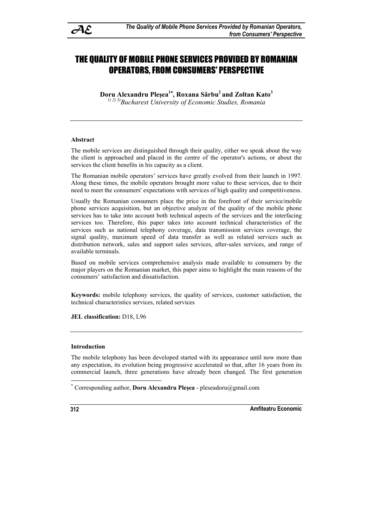

# THE QUALITY OF MOBILE PHONE SERVICES PROVIDED BY ROMANIAN OPERATORS, FROM CONSUMERS' PERSPECTIVE

**Doru Alexandru Pleşea<sup>1</sup> , Roxana Sârbu2 and Zoltan Kato3** *1) 2) 3)Bucharest University of Economic Studies, Romania* 

#### **Abstract**

The mobile services are distinguished through their quality, either we speak about the way the client is approached and placed in the centre of the operator's actions, or about the services the client benefits in his capacity as a client.

The Romanian mobile operators' services have greatly evolved from their launch in 1997. Along these times, the mobile operators brought more value to these services, due to their need to meet the consumers' expectations with services of high quality and competitiveness.

Usually the Romanian consumers place the price in the forefront of their service/mobile phone services acquisition, but an objective analyze of the quality of the mobile phone services has to take into account both technical aspects of the services and the interfacing services too. Therefore, this paper takes into account technical characteristics of the services such as national telephony coverage, data transmission services coverage, the signal quality, maximum speed of data transfer as well as related services such as distribution network, sales and support sales services, after-sales services, and range of available terminals.

Based on mobile services comprehensive analysis made available to consumers by the major players on the Romanian market, this paper aims to highlight the main reasons of the consumers' satisfaction and dissatisfaction.

**Keywords:** mobile telephony services, the quality of services, customer satisfaction, the technical characteristics services, related services

**JEL classification:** D18, L96

#### **Introduction**

The mobile telephony has been developed started with its appearance until now more than any expectation, its evolution being progressive accelerated so that, after 16 years from its commercial launch, three generations have already been changed. The first generation

**312 Amfiteatru Economic** 

 $\overline{a}$ 

<sup>\*</sup> Corresponding author, **Doru Alexandru Pleşea** - pleseadoru@gmail.com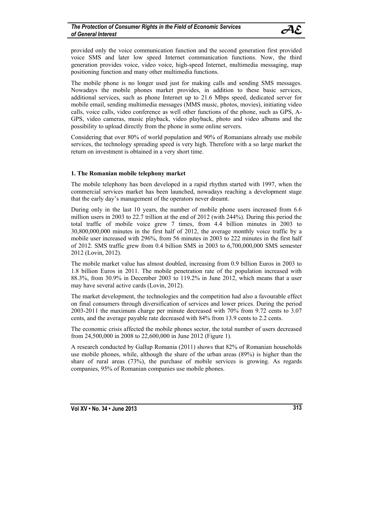provided only the voice communication function and the second generation first provided voice SMS and later low speed Internet communication functions. Now, the third generation provides voice, video voice, high-speed Internet, multimedia messaging, map positioning function and many other multimedia functions.

The mobile phone is no longer used just for making calls and sending SMS messages. Nowadays the mobile phones market provides, in addition to these basic services, additional services, such as phone Internet up to 21.6 Mbps speed, dedicated server for mobile email, sending multimedia messages (MMS music, photos, movies), initiating video calls, voice calls, video conference as well other functions of the phone, such as GPS, A-GPS, video cameras, music playback, video playback, photo and video albums and the possibility to upload directly from the phone in some online servers.

Considering that over 80% of world population and 90% of Romanians already use mobile services, the technology spreading speed is very high. Therefore with a so large market the return on investment is obtained in a very short time.

### **1. The Romanian mobile telephony market**

The mobile telephony has been developed in a rapid rhythm started with 1997, when the commercial services market has been launched, nowadays reaching a development stage that the early day's management of the operators never dreamt.

During only in the last 10 years, the number of mobile phone users increased from 6.6 million users in 2003 to 22.7 trillion at the end of 2012 (with 244%). During this period the total traffic of mobile voice grew 7 times, from 4.4 billion minutes in 2003 to 30,800,000,000 minutes in the first half of 2012, the average monthly voice traffic by a mobile user increased with 296%, from 56 minutes in 2003 to 222 minutes in the first half of 2012. SMS traffic grew from 0.4 billion SMS in 2003 to 6,700,000,000 SMS semester 2012 (Lovin, 2012).

The mobile market value has almost doubled, increasing from 0.9 billion Euros in 2003 to 1.8 billion Euros in 2011. The mobile penetration rate of the population increased with 88.3%, from 30.9% in December 2003 to 119.2% in June 2012, which means that a user may have several active cards (Lovin, 2012).

The market development, the technologies and the competition had also a favourable effect on final consumers through diversification of services and lower prices. During the period 2003-2011 the maximum charge per minute decreased with 70% from 9.72 cents to 3.07 cents, and the average payable rate decreased with 84% from 13.9 cents to 2.2 cents.

The economic crisis affected the mobile phones sector, the total number of users decreased from 24,500,000 in 2008 to 22,600,000 in June 2012 (Figure 1).

A research conducted by Gallup Romania (2011) shows that 82% of Romanian households use mobile phones, while, although the share of the urban areas (89%) is higher than the share of rural areas (73%), the purchase of mobile services is growing. As regards companies, 95% of Romanian companies use mobile phones.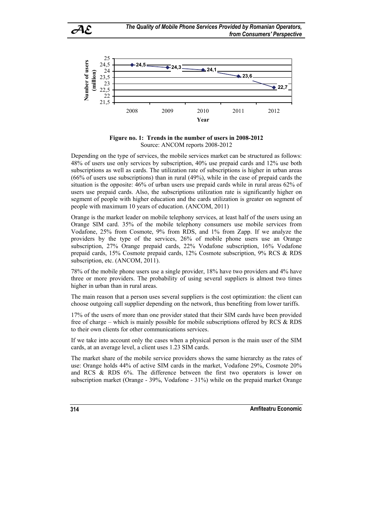

**Figure no. 1: Trends in the number of users in 2008-2012**  Source: ANCOM reports 2008-2012

Depending on the type of services, the mobile services market can be structured as follows: 48% of users use only services by subscription, 40% use prepaid cards and 12% use both subscriptions as well as cards. The utilization rate of subscriptions is higher in urban areas (66% of users use subscriptions) than in rural (49%), while in the case of prepaid cards the situation is the opposite: 46% of urban users use prepaid cards while in rural areas 62% of users use prepaid cards. Also, the subscriptions utilization rate is significantly higher on segment of people with higher education and the cards utilization is greater on segment of people with maximum 10 years of education. (ANCOM, 2011)

Orange is the market leader on mobile telephony services, at least half of the users using an Orange SIM card. 35% of the mobile telephony consumers use mobile services from Vodafone, 25% from Cosmote, 9% from RDS, and 1% from Zapp. If we analyze the providers by the type of the services, 26% of mobile phone users use an Orange subscription, 27% Orange prepaid cards, 22% Vodafone subscription, 16% Vodafone prepaid cards, 15% Cosmote prepaid cards, 12% Cosmote subscription, 9% RCS & RDS subscription, etc. (ANCOM, 2011).

78% of the mobile phone users use a single provider, 18% have two providers and 4% have three or more providers. The probability of using several suppliers is almost two times higher in urban than in rural areas.

The main reason that a person uses several suppliers is the cost optimization: the client can choose outgoing call supplier depending on the network, thus benefiting from lower tariffs.

17% of the users of more than one provider stated that their SIM cards have been provided free of charge – which is mainly possible for mobile subscriptions offered by RCS & RDS to their own clients for other communications services.

If we take into account only the cases when a physical person is the main user of the SIM cards, at an average level, a client uses 1.23 SIM cards.

The market share of the mobile service providers shows the same hierarchy as the rates of use: Orange holds 44% of active SIM cards in the market, Vodafone 29%, Cosmote 20% and RCS & RDS 6%. The difference between the first two operators is lower on subscription market (Orange - 39%, Vodafone - 31%) while on the prepaid market Orange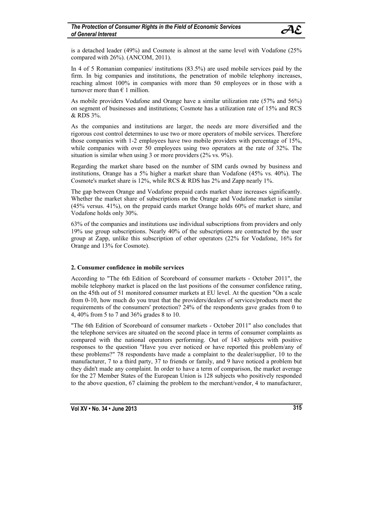is a detached leader (49%) and Cosmote is almost at the same level with Vodafone (25% compared with 26%). (ANCOM, 2011).

In 4 of 5 Romanian companies/ institutions (83.5%) are used mobile services paid by the firm. In big companies and institutions, the penetration of mobile telephony increases, reaching almost 100% in companies with more than 50 employees or in those with a turnover more than  $\epsilon$  1 million.

As mobile providers Vodafone and Orange have a similar utilization rate (57% and 56%) on segment of businesses and institutions; Cosmote has a utilization rate of 15% and RCS & RDS 3%.

As the companies and institutions are larger, the needs are more diversified and the rigorous cost control determines to use two or more operators of mobile services. Therefore those companies with 1-2 employees have two mobile providers with percentage of 15%, while companies with over 50 employees using two operators at the rate of 32%. The situation is similar when using 3 or more providers (2% vs. 9%).

Regarding the market share based on the number of SIM cards owned by business and institutions, Orange has a 5% higher a market share than Vodafone (45% vs. 40%). The Cosmote's market share is 12%, while RCS & RDS has 2% and Zapp nearly 1%.

The gap between Orange and Vodafone prepaid cards market share increases significantly. Whether the market share of subscriptions on the Orange and Vodafone market is similar (45% versus. 41%), on the prepaid cards market Orange holds 60% of market share, and Vodafone holds only 30%.

63% of the companies and institutions use individual subscriptions from providers and only 19% use group subscriptions. Nearly 40% of the subscriptions are contracted by the user group at Zapp, unlike this subscription of other operators (22% for Vodafone, 16% for Orange and 13% for Cosmote).

# **2. Consumer confidence in mobile services**

According to "The 6th Edition of Scoreboard of consumer markets - October 2011", the mobile telephony market is placed on the last positions of the consumer confidence rating, on the 45th out of 51 monitored consumer markets at EU level. At the question "On a scale from 0-10, how much do you trust that the providers/dealers of services/products meet the requirements of the consumers' protection? 24% of the respondents gave grades from 0 to 4, 40% from 5 to 7 and 36% grades 8 to 10.

"The 6th Edition of Scoreboard of consumer markets - October 2011" also concludes that the telephone services are situated on the second place in terms of consumer complaints as compared with the national operators performing. Out of 143 subjects with positive responses to the question "Have you ever noticed or have reported this problem/any of these problems?" 78 respondents have made a complaint to the dealer/supplier, 10 to the manufacturer, 7 to a third party, 37 to friends or family, and 9 have noticed a problem but they didn't made any complaint. In order to have a term of comparison, the market average for the 27 Member States of the European Union is 128 subjects who positively responded to the above question, 67 claiming the problem to the merchant/vendor, 4 to manufacturer,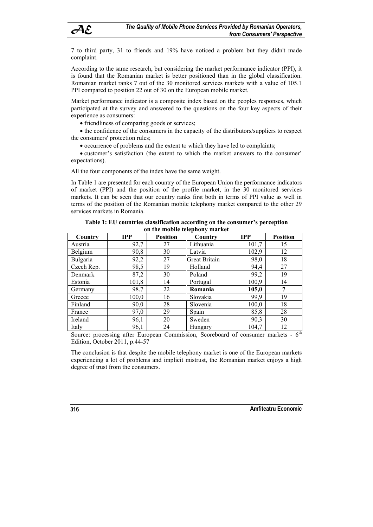7 to third party, 31 to friends and 19% have noticed a problem but they didn't made complaint.

According to the same research, but considering the market performance indicator (PPI), it is found that the Romanian market is better positioned than in the global classification. Romanian market ranks 7 out of the 30 monitored services markets with a value of 105.1 PPI compared to position 22 out of 30 on the European mobile market.

Market performance indicator is a composite index based on the peoples responses, which participated at the survey and answered to the questions on the four key aspects of their experience as consumers:

• friendliness of comparing goods or services;

• the confidence of the consumers in the capacity of the distributors/suppliers to respect the consumers' protection rules;

occurrence of problems and the extent to which they have led to complaints;

 customer's satisfaction (the extent to which the market answers to the consumer' expectations).

All the four components of the index have the same weight.

In Table 1 are presented for each country of the European Union the performance indicators of market (PPI) and the position of the profile market, in the 30 monitored services markets. It can be seen that our country ranks first both in terms of PPI value as well in terms of the position of the Romanian mobile telephony market compared to the other 29 services markets in Romania.

| он тие пюрие текриону шагкет |            |                            |                      |            |                 |  |
|------------------------------|------------|----------------------------|----------------------|------------|-----------------|--|
| Country                      | <b>IPP</b> | <b>Position</b><br>Country |                      | <b>IPP</b> | <b>Position</b> |  |
| Austria                      | 92,7       | 27                         | Lithuania            | 101,7      | 15              |  |
| Belgium                      | 90,8       | 30                         | Latvia               |            | 12              |  |
| Bulgaria                     | 92,2       | 27                         | <b>Great Britain</b> | 98,0       | 18              |  |
| Czech Rep.                   | 98,5       | 19                         | Holland              | 94,4       | 27              |  |
| Denmark                      | 87,2       | 30                         | Poland               | 99,2       | 19              |  |
| Estonia                      | 101,8      | 14                         | Portugal             | 100,9      | 14              |  |
| Germany                      | 98.7       | 22                         | Romania              | 105,0      | 7               |  |
| Greece                       | 100,0      | 16                         | Slovakia             | 99,9       | 19              |  |
| Finland                      | 90,0       | 28                         | Slovenia             | 100,0      | 18              |  |
| France                       | 97,0       | 29                         | Spain                | 85,8       | 28              |  |
| Ireland                      | 96,1       | 20                         | Sweden               | 90,3       | 30              |  |
| Italy                        | 96,1       | 24                         | Hungary              | 104,7      | 12              |  |

**Table 1: EU countries classification according on the consumer's perception on the mobile telephony market** 

Source: processing after European Commission, Scoreboard of consumer markets - 6<sup>th</sup> Edition, October 2011, p.44-57

The conclusion is that despite the mobile telephony market is one of the European markets experiencing a lot of problems and implicit mistrust, the Romanian market enjoys a high degree of trust from the consumers.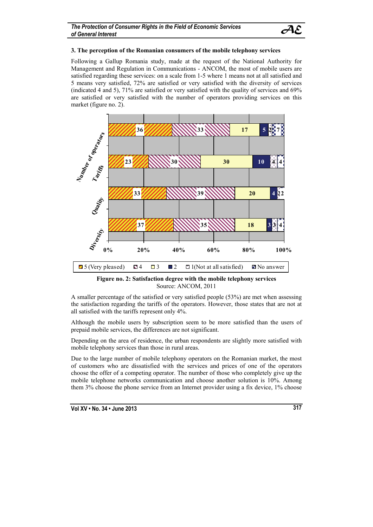

#### **3. The perception of the Romanian consumers of the mobile telephony services**

Following a Gallup Romania study, made at the request of the National Authority for Management and Regulation in Communications - ANCOM, the most of mobile users are satisfied regarding these services: on a scale from 1-5 where 1 means not at all satisfied and 5 means very satisfied, 72% are satisfied or very satisfied with the diversity of services (indicated 4 and 5), 71% are satisfied or very satisfied with the quality of services and 69% are satisfied or very satisfied with the number of operators providing services on this market (figure no. 2).



**Figure no. 2: Satisfaction degree with the mobile telephony services**  Source: ANCOM, 2011

A smaller percentage of the satisfied or very satisfied people (53%) are met when assessing the satisfaction regarding the tariffs of the operators. However, those states that are not at all satisfied with the tariffs represent only 4%.

Although the mobile users by subscription seem to be more satisfied than the users of prepaid mobile services, the differences are not significant.

Depending on the area of residence, the urban respondents are slightly more satisfied with mobile telephony services than those in rural areas.

Due to the large number of mobile telephony operators on the Romanian market, the most of customers who are dissatisfied with the services and prices of one of the operators choose the offer of a competing operator. The number of those who completely give up the mobile telephone networks communication and choose another solution is 10%. Among them 3% choose the phone service from an Internet provider using a fix device, 1% choose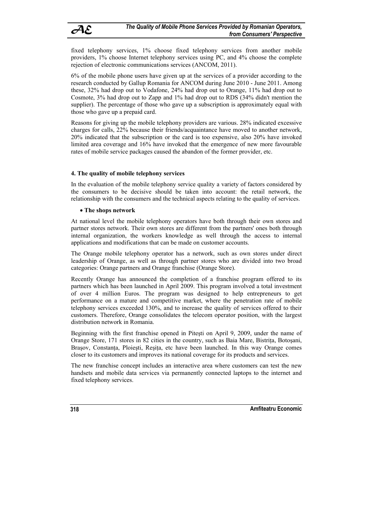fixed telephony services, 1% choose fixed telephony services from another mobile providers, 1% choose Internet telephony services using PC, and 4% choose the complete rejection of electronic communications services (ANCOM, 2011).

6% of the mobile phone users have given up at the services of a provider according to the research conducted by Gallup Romania for ANCOM during June 2010 - June 2011. Among these, 32% had drop out to Vodafone, 24% had drop out to Orange, 11% had drop out to Cosmote, 3% had drop out to Zapp and 1% had drop out to RDS (34% didn't mention the supplier). The percentage of those who gave up a subscription is approximately equal with those who gave up a prepaid card.

Reasons for giving up the mobile telephony providers are various. 28% indicated excessive charges for calls, 22% because their friends/acquaintance have moved to another network, 20% indicated that the subscription or the card is too expensive, also 20% have invoked limited area coverage and 16% have invoked that the emergence of new more favourable rates of mobile service packages caused the abandon of the former provider, etc.

# **4. The quality of mobile telephony services**

In the evaluation of the mobile telephony service quality a variety of factors considered by the consumers to be decisive should be taken into account: the retail network, the relationship with the consumers and the technical aspects relating to the quality of services.

### **The shops network**

At national level the mobile telephony operators have both through their own stores and partner stores network. Their own stores are different from the partners' ones both through internal organization, the workers knowledge as well through the access to internal applications and modifications that can be made on customer accounts.

The Orange mobile telephony operator has a network, such as own stores under direct leadership of Orange, as well as through partner stores who are divided into two broad categories: Orange partners and Orange franchise (Orange Store).

Recently Orange has announced the completion of a franchise program offered to its partners which has been launched in April 2009. This program involved a total investment of over 4 million Euros. The program was designed to help entrepreneurs to get performance on a mature and competitive market, where the penetration rate of mobile telephony services exceeded 130%, and to increase the quality of services offered to their customers. Therefore, Orange consolidates the telecom operator position, with the largest distribution network in Romania.

Beginning with the first franchise opened in Piteşti on April 9, 2009, under the name of Orange Store, 171 stores in 82 cities in the country, such as Baia Mare, Bistriţa, Botoşani, Brasov, Constanta, Ploiesti, Resita, etc have been launched. In this way Orange comes closer to its customers and improves its national coverage for its products and services.

The new franchise concept includes an interactive area where customers can test the new handsets and mobile data services via permanently connected laptops to the internet and fixed telephony services.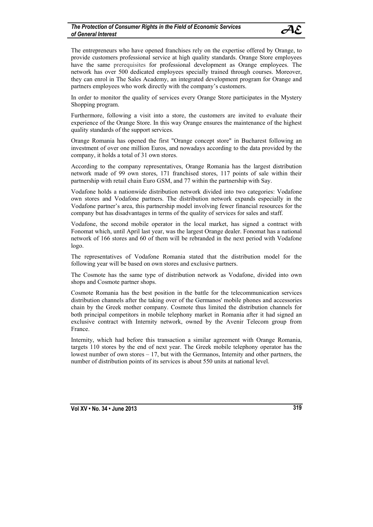The entrepreneurs who have opened franchises rely on the expertise offered by Orange, to provide customers professional service at high quality standards. Orange Store employees have the same prerequisites for professional development as Orange employees. The network has over 500 dedicated employees specially trained through courses. Moreover, they can enrol in The Sales Academy, an integrated development program for Orange and partners employees who work directly with the company's customers.

In order to monitor the quality of services every Orange Store participates in the Mystery Shopping program.

Furthermore, following a visit into a store, the customers are invited to evaluate their experience of the Orange Store. In this way Orange ensures the maintenance of the highest quality standards of the support services.

Orange Romania has opened the first "Orange concept store" in Bucharest following an investment of over one million Euros, and nowadays according to the data provided by the company, it holds a total of 31 own stores.

According to the company representatives, Orange Romania has the largest distribution network made of 99 own stores, 171 franchised stores, 117 points of sale within their partnership with retail chain Euro GSM, and 77 within the partnership with Say.

Vodafone holds a nationwide distribution network divided into two categories: Vodafone own stores and Vodafone partners. The distribution network expands especially in the Vodafone partner's area, this partnership model involving fewer financial resources for the company but has disadvantages in terms of the quality of services for sales and staff.

Vodafone, the second mobile operator in the local market, has signed a contract with Fonomat which, until April last year, was the largest Orange dealer. Fonomat has a national network of 166 stores and 60 of them will be rebranded in the next period with Vodafone logo.

The representatives of Vodafone Romania stated that the distribution model for the following year will be based on own stores and exclusive partners.

The Cosmote has the same type of distribution network as Vodafone, divided into own shops and Cosmote partner shops.

Cosmote Romania has the best position in the battle for the telecommunication services distribution channels after the taking over of the Germanos' mobile phones and accessories chain by the Greek mother company. Cosmote thus limited the distribution channels for both principal competitors in mobile telephony market in Romania after it had signed an exclusive contract with Internity network, owned by the Avenir Telecom group from France.

Internity, which had before this transaction a similar agreement with Orange Romania, targets 110 stores by the end of next year. The Greek mobile telephony operator has the lowest number of own stores – 17, but with the Germanos, Internity and other partners, the number of distribution points of its services is about 550 units at national level.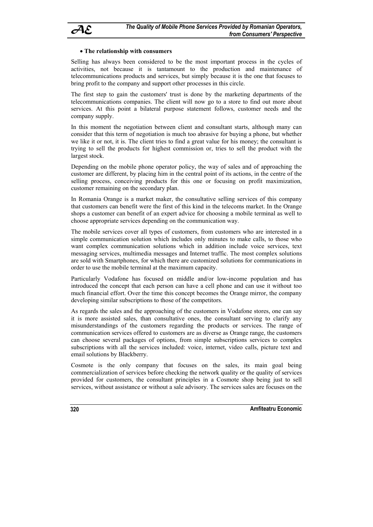

#### **The relationship with consumers**

Selling has always been considered to be the most important process in the cycles of activities, not because it is tantamount to the production and maintenance of telecommunications products and services, but simply because it is the one that focuses to bring profit to the company and support other processes in this circle.

The first step to gain the customers' trust is done by the marketing departments of the telecommunications companies. The client will now go to a store to find out more about services. At this point a bilateral purpose statement follows, customer needs and the company supply.

In this moment the negotiation between client and consultant starts, although many can consider that this term of negotiation is much too abrasive for buying a phone, but whether we like it or not, it is. The client tries to find a great value for his money; the consultant is trying to sell the products for highest commission or, tries to sell the product with the largest stock.

Depending on the mobile phone operator policy, the way of sales and of approaching the customer are different, by placing him in the central point of its actions, in the centre of the selling process, conceiving products for this one or focusing on profit maximization, customer remaining on the secondary plan.

In Romania Orange is a market maker, the consultative selling services of this company that customers can benefit were the first of this kind in the telecoms market. In the Orange shops a customer can benefit of an expert advice for choosing a mobile terminal as well to choose appropriate services depending on the communication way.

The mobile services cover all types of customers, from customers who are interested in a simple communication solution which includes only minutes to make calls, to those who want complex communication solutions which in addition include voice services, text messaging services, multimedia messages and Internet traffic. The most complex solutions are sold with Smartphones, for which there are customized solutions for communications in order to use the mobile terminal at the maximum capacity.

Particularly Vodafone has focused on middle and/or low-income population and has introduced the concept that each person can have a cell phone and can use it without too much financial effort. Over the time this concept becomes the Orange mirror, the company developing similar subscriptions to those of the competitors.

As regards the sales and the approaching of the customers in Vodafone stores, one can say it is more assisted sales, than consultative ones, the consultant serving to clarify any misunderstandings of the customers regarding the products or services. The range of communication services offered to customers are as diverse as Orange range, the customers can choose several packages of options, from simple subscriptions services to complex subscriptions with all the services included: voice, internet, video calls, picture text and email solutions by Blackberry.

Cosmote is the only company that focuses on the sales, its main goal being commercialization of services before checking the network quality or the quality of services provided for customers, the consultant principles in a Cosmote shop being just to sell services, without assistance or without a sale advisory. The services sales are focuses on the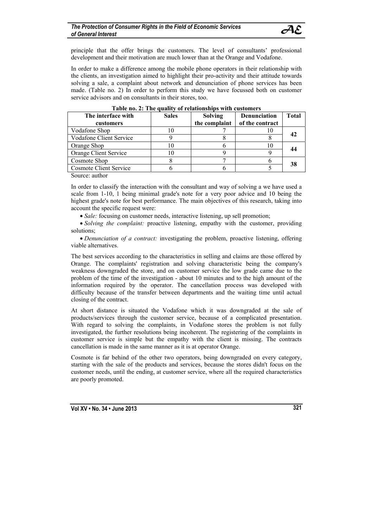principle that the offer brings the customers. The level of consultants' professional development and their motivation are much lower than at the Orange and Vodafone.

In order to make a difference among the mobile phone operators in their relationship with the clients, an investigation aimed to highlight their pro-activity and their attitude towards solving a sale, a complaint about network and denunciation of phone services has been made. (Table no. 2) In order to perform this study we have focussed both on customer service advisors and on consultants in their stores, too.

| Table no. 2. The quanty of relationships with customers |              |                |                     |              |  |
|---------------------------------------------------------|--------------|----------------|---------------------|--------------|--|
| The interface with                                      | <b>Sales</b> | <b>Solving</b> | <b>Denunciation</b> | <b>Total</b> |  |
| customers                                               |              | the complaint  | of the contract     |              |  |
| Vodafone Shop                                           | 10           |                | 1Ψ                  |              |  |
| <b>Vodafone Client Service</b>                          |              |                |                     |              |  |
| Orange Shop                                             |              |                | 10                  |              |  |
| Orange Client Service                                   | 10           |                |                     |              |  |
| Cosmote Shop                                            |              |                |                     |              |  |
| Cosmote Client Service                                  |              |                |                     |              |  |
| $\sim$ $\sim$ $\sim$                                    |              |                |                     |              |  |

| Table no. 2: The quality of relationships with customers |  |  |  |
|----------------------------------------------------------|--|--|--|
|                                                          |  |  |  |

Source: author

In order to classify the interaction with the consultant and way of solving a we have used a scale from 1-10, 1 being minimal grade's note for a very poor advice and 10 being the highest grade's note for best performance. The main objectives of this research, taking into account the specific request were:

• *Sale:* focusing on customer needs, interactive listening, up sell promotion;

• *Solving the complaint:* proactive listening, empathy with the customer, providing solutions;

 *Denunciation of a contract:* investigating the problem, proactive listening, offering viable alternatives.

The best services according to the characteristics in selling and claims are those offered by Orange. The complaints' registration and solving characteristic being the company's weakness downgraded the store, and on customer service the low grade came due to the problem of the time of the investigation - about 10 minutes and to the high amount of the information required by the operator. The cancellation process was developed with difficulty because of the transfer between departments and the waiting time until actual closing of the contract.

At short distance is situated the Vodafone which it was downgraded at the sale of products/services through the customer service, because of a complicated presentation. With regard to solving the complaints, in Vodafone stores the problem is not fully investigated, the further resolutions being incoherent. The registering of the complaints in customer service is simple but the empathy with the client is missing. The contracts cancellation is made in the same manner as it is at operator Orange.

Cosmote is far behind of the other two operators, being downgraded on every category, starting with the sale of the products and services, because the stores didn't focus on the customer needs, until the ending, at customer service, where all the required characteristics are poorly promoted.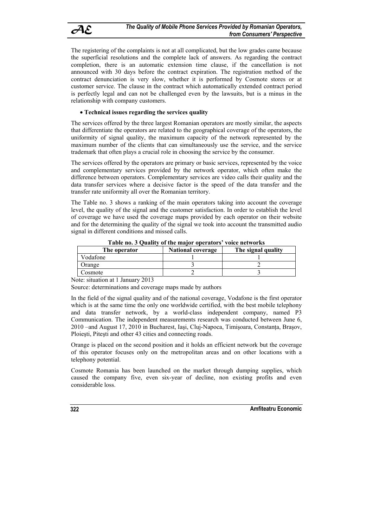The registering of the complaints is not at all complicated, but the low grades came because the superficial resolutions and the complete lack of answers. As regarding the contract completion, there is an automatic extension time clause, if the cancellation is not announced with 30 days before the contract expiration. The registration method of the contract denunciation is very slow, whether it is performed by Cosmote stores or at customer service. The clause in the contract which automatically extended contract period is perfectly legal and can not be challenged even by the lawsuits, but is a minus in the relationship with company customers.

# **Technical issues regarding the services quality**

The services offered by the three largest Romanian operators are mostly similar, the aspects that differentiate the operators are related to the geographical coverage of the operators, the uniformity of signal quality, the maximum capacity of the network represented by the maximum number of the clients that can simultaneously use the service, and the service trademark that often plays a crucial role in choosing the service by the consumer.

The services offered by the operators are primary or basic services, represented by the voice and complementary services provided by the network operator, which often make the difference between operators. Complementary services are video calls their quality and the data transfer services where a decisive factor is the speed of the data transfer and the transfer rate uniformity all over the Romanian territory.

The Table no. 3 shows a ranking of the main operators taking into account the coverage level, the quality of the signal and the customer satisfaction. In order to establish the level of coverage we have used the coverage maps provided by each operator on their website and for the determining the quality of the signal we took into account the transmitted audio signal in different conditions and missed calls.

| THOIC HOLD QUALITY OF THE HIM OF ODERWOLD TOICE HETTOFIED |                          |                    |  |  |  |
|-----------------------------------------------------------|--------------------------|--------------------|--|--|--|
| The operator                                              | <b>National coverage</b> | The signal quality |  |  |  |
| Vodafone                                                  |                          |                    |  |  |  |
| Orange                                                    |                          |                    |  |  |  |
| Cosmote                                                   |                          |                    |  |  |  |

**Table no. 3 Quality of the major operators' voice networks** 

Note: situation at 1 January 2013

Source: determinations and coverage maps made by authors

In the field of the signal quality and of the national coverage, Vodafone is the first operator which is at the same time the only one worldwide certified, with the best mobile telephony and data transfer network, by a world-class independent company, named P3 Communication. The independent measurements research was conducted between June 6, 2010 –and August 17, 2010 in Bucharest, Iaşi, Cluj-Napoca, Timişoara, Constanţa, Braşov, Ploiesti, Pitesti and other 43 cities and connecting roads.

Orange is placed on the second position and it holds an efficient network but the coverage of this operator focuses only on the metropolitan areas and on other locations with a telephony potential.

Cosmote Romania has been launched on the market through dumping supplies, which caused the company five, even six-year of decline, non existing profits and even considerable loss.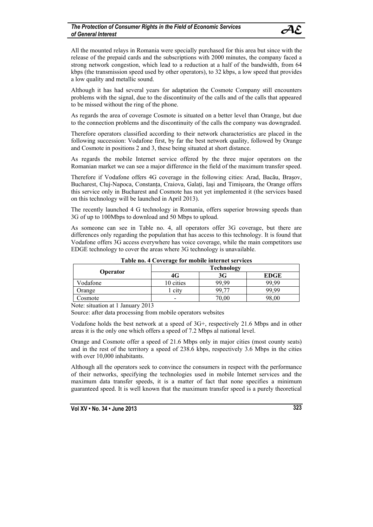All the mounted relays in Romania were specially purchased for this area but since with the release of the prepaid cards and the subscriptions with 2000 minutes, the company faced a strong network congestion, which lead to a reduction at a half of the bandwidth, from 64 kbps (the transmission speed used by other operators), to 32 kbps, a low speed that provides a low quality and metallic sound.

Although it has had several years for adaptation the Cosmote Company still encounters problems with the signal, due to the discontinuity of the calls and of the calls that appeared to be missed without the ring of the phone.

As regards the area of coverage Cosmote is situated on a better level than Orange, but due to the connection problems and the discontinuity of the calls the company was downgraded.

Therefore operators classified according to their network characteristics are placed in the following succession: Vodafone first, by far the best network quality, followed by Orange and Cosmote in positions 2 and 3, these being situated at short distance.

As regards the mobile Internet service offered by the three major operators on the Romanian market we can see a major difference in the field of the maximum transfer speed.

Therefore if Vodafone offers 4G coverage in the following cities: Arad, Bacău, Braşov, Bucharest, Cluj-Napoca, Constanta, Craiova, Galati, Iași and Timișoara, the Orange offers this service only in Bucharest and Cosmote has not yet implemented it (the services based on this technology will be launched in April 2013).

The recently launched 4 G technology in Romania, offers superior browsing speeds than 3G of up to 100Mbps to download and 50 Mbps to upload.

As someone can see in Table no. 4, all operators offer 3G coverage, but there are differences only regarding the population that has access to this technology. It is found that Vodafone offers 3G access everywhere has voice coverage, while the main competitors use EDGE technology to cover the areas where 3G technology is unavailable.

| Operator | <b>Technology</b> |       |             |  |
|----------|-------------------|-------|-------------|--|
|          | 4G                | 3G    | <b>EDGE</b> |  |
| Vodafone | 10 cities         | 99.99 | 99.99       |  |
| Orange   | r city            | 99.   | 99.99       |  |
| Cosmote  |                   | 70,00 | 98,00       |  |

**Table no. 4 Coverage for mobile internet services** 

Note: situation at 1 January 2013

Source: after data processing from mobile operators websites

Vodafone holds the best network at a speed of 3G+, respectively 21.6 Mbps and in other areas it is the only one which offers a speed of 7.2 Mbps al national level.

Orange and Cosmote offer a speed of 21.6 Mbps only in major cities (most county seats) and in the rest of the territory a speed of 238.6 kbps, respectively 3.6 Mbps in the cities with over 10,000 inhabitants.

Although all the operators seek to convince the consumers in respect with the performance of their networks, specifying the technologies used in mobile Internet services and the maximum data transfer speeds, it is a matter of fact that none specifies a minimum guaranteed speed. It is well known that the maximum transfer speed is a purely theoretical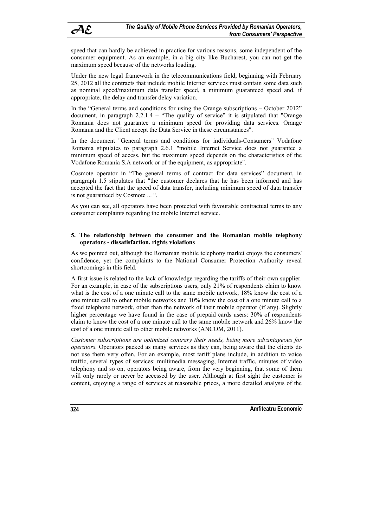speed that can hardly be achieved in practice for various reasons, some independent of the consumer equipment. As an example, in a big city like Bucharest, you can not get the maximum speed because of the networks loading.

Under the new legal framework in the telecommunications field, beginning with February 25, 2012 all the contracts that include mobile Internet services must contain some data such as nominal speed/maximum data transfer speed, a minimum guaranteed speed and, if appropriate, the delay and transfer delay variation.

In the "General terms and conditions for using the Orange subscriptions – October 2012" document, in paragraph 2.2.1.4 – "The quality of service" it is stipulated that "Orange Romania does not guarantee a minimum speed for providing data services. Orange Romania and the Client accept the Data Service in these circumstances".

In the document "General terms and conditions for individuals-Consumers" Vodafone Romania stipulates to paragraph 2.6.1 "mobile Internet Service does not guarantee a minimum speed of access, but the maximum speed depends on the characteristics of the Vodafone Romania S.A network or of the equipment, as appropriate".

Cosmote operator in "The general terms of contract for data services" document, in paragraph 1.5 stipulates that "the customer declares that he has been informed and has accepted the fact that the speed of data transfer, including minimum speed of data transfer is not guaranteed by Cosmote ... ".

As you can see, all operators have been protected with favourable contractual terms to any consumer complaints regarding the mobile Internet service.

#### **5. The relationship between the consumer and the Romanian mobile telephony operators - dissatisfaction, rights violations**

As we pointed out, although the Romanian mobile telephony market enjoys the consumers' confidence, yet the complaints to the National Consumer Protection Authority reveal shortcomings in this field.

A first issue is related to the lack of knowledge regarding the tariffs of their own supplier. For an example, in case of the subscriptions users, only 21% of respondents claim to know what is the cost of a one minute call to the same mobile network, 18% know the cost of a one minute call to other mobile networks and 10% know the cost of a one minute call to a fixed telephone network, other than the network of their mobile operator (if any). Slightly higher percentage we have found in the case of prepaid cards users: 30% of respondents claim to know the cost of a one minute call to the same mobile network and 26% know the cost of a one minute call to other mobile networks (ANCOM, 2011).

*Customer subscriptions are optimized contrary their needs, being more advantageous for operators.* Operators packed as many services as they can, being aware that the clients do not use them very often. For an example, most tariff plans include, in addition to voice traffic, several types of services: multimedia messaging, Internet traffic, minutes of video telephony and so on, operators being aware, from the very beginning, that some of them will only rarely or never be accessed by the user. Although at first sight the customer is content, enjoying a range of services at reasonable prices, a more detailed analysis of the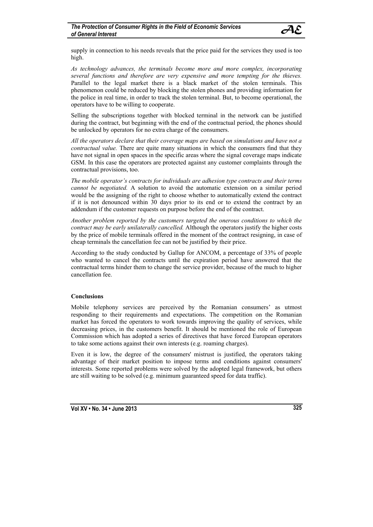supply in connection to his needs reveals that the price paid for the services they used is too high.

*As technology advances, the terminals become more and more complex, incorporating several functions and therefore are very expensive and more tempting for the thieves.* Parallel to the legal market there is a black market of the stolen terminals. This phenomenon could be reduced by blocking the stolen phones and providing information for the police in real time, in order to track the stolen terminal. But, to become operational, the operators have to be willing to cooperate.

Selling the subscriptions together with blocked terminal in the network can be justified during the contract, but beginning with the end of the contractual period, the phones should be unlocked by operators for no extra charge of the consumers.

*All the operators declare that their coverage maps are based on simulations and have not a contractual value.* There are quite many situations in which the consumers find that they have not signal in open spaces in the specific areas where the signal coverage maps indicate GSM. In this case the operators are protected against any customer complaints through the contractual provisions, too.

*The mobile operator's contracts for individuals are adhesion type contracts and their terms cannot be negotiated.* A solution to avoid the automatic extension on a similar period would be the assigning of the right to choose whether to automatically extend the contract if it is not denounced within 30 days prior to its end or to extend the contract by an addendum if the customer requests on purpose before the end of the contract.

*Another problem reported by the customers targeted the onerous conditions to which the contract may be early unilaterally cancelled.* Although the operators justify the higher costs by the price of mobile terminals offered in the moment of the contract resigning, in case of cheap terminals the cancellation fee can not be justified by their price.

According to the study conducted by Gallup for ANCOM, a percentage of 33% of people who wanted to cancel the contracts until the expiration period have answered that the contractual terms hinder them to change the service provider, because of the much to higher cancellation fee.

### **Conclusions**

Mobile telephony services are perceived by the Romanian consumers' as utmost responding to their requirements and expectations. The competition on the Romanian market has forced the operators to work towards improving the quality of services, while decreasing prices, in the customers benefit. It should be mentioned the role of European Commission which has adopted a series of directives that have forced European operators to take some actions against their own interests (e.g. roaming charges).

Even it is low, the degree of the consumers' mistrust is justified, the operators taking advantage of their market position to impose terms and conditions against consumers' interests. Some reported problems were solved by the adopted legal framework, but others are still waiting to be solved (e.g. minimum guaranteed speed for data traffic).